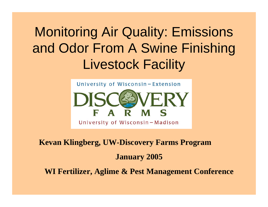# Monitoring Air Quality: Emissions and Odor From A Swine Finishing Livestock Facility



### **Kevan Klingberg, UW-Discovery Farms Program January 2005**

**WI Fertilizer, Aglime & Pest Management Conference**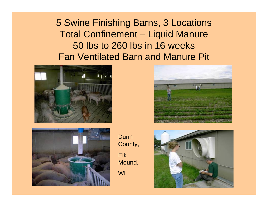5 Swine Finishing Barns, 3 Locations Total Confinement – Liquid Manure 50 lbs to 260 lbs in 16 weeks Fan Ventilated Barn and Manure Pit





Dunn County, Elk Mound, WI



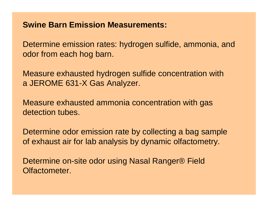#### **Swine Barn Emission Measurements:**

Determine emission rates: hydrogen sulfide, ammonia, and odor from each hog barn.

Measure exhausted hydrogen sulfide concentration with a JEROME 631-X Gas Analyzer.

Measure exhausted ammonia concentration with gas detection tubes.

Determine odor emission rate by collecting a bag sample of exhaust air for lab analysis by dynamic olfactometry.

Determine on-site odor using Nasal Ranger® Field Olfactometer.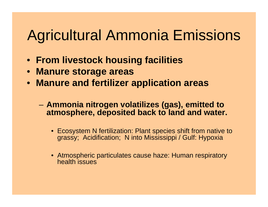# Agricultural Ammonia Emissions

- **From livestock housing facilities**
- $\bullet$ **Manure storage areas**
- **Manure and fertilizer application areas**
	- **Ammonia nitrogen volatilizes (gas), emitted to atmosphere, deposited back to land and water.**
		- Ecosystem N fertilization: Plant species shift from native to grassy; Acidification; N into Mississippi / Gulf: Hypoxia
		- Atmospheric particulates cause haze: Human respiratory health issues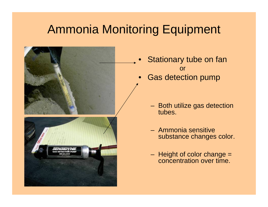### Ammonia Monitoring Equipment



- $\bullet$  Stationary tube on fan or
- • Gas detection pump
	- Both utilize gas detection tubes.
	- Ammonia sensitive substance changes color.
	- Height of color change = concentration over time.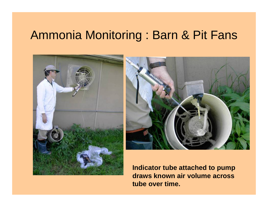## Ammonia Monitoring : Barn & Pit Fans





**Indicator tube attached to pump draws known air volume across tube over time.**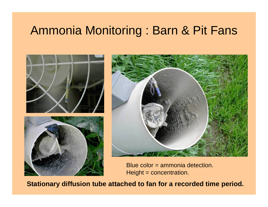### Ammonia Monitoring : Barn & Pit Fans



**Stationary diffusion tube attached to fan for a recorded time period.**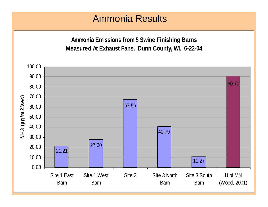#### Ammonia Results

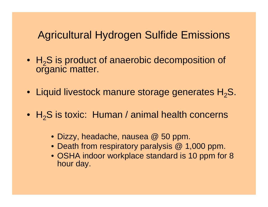### Agricultural Hydrogen Sulfide Emissions

- H H<sub>2</sub>S is product of anaerobic decomposition of<br>organic matter.
- $\bullet~$  Liquid livestock manure storage generates  $\mathsf{H}_2\mathsf{S}.$
- $H_{2}$ S is toxic: Human / animal health concerns
	- Dizzy, headache, nausea @ 50 ppm.
	- Death from respiratory paralysis @ 1,000 ppm.
	- OSHA indoor workplace standard is 10 ppm for 8 hour day.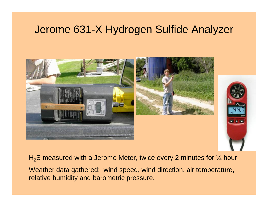#### Jerome 631-X Hydrogen Sulfide Analyzer



H<sub>2</sub>S measured with a Jerome Meter, twice every 2 minutes for ½ hour.

Weather data gathered: wind speed, wind direction, air temperature, relative humidity and barometric pressure.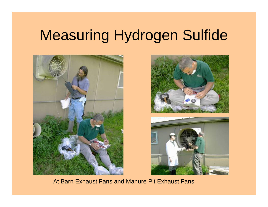# Measuring Hydrogen Sulfide





At Barn Exhaust Fans and Manure Pit Exhaust Fans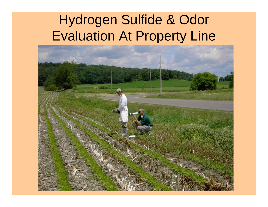# Hydrogen Sulfide & Odor Evaluation At Property Line

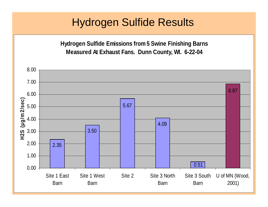### Hydrogen Sulfide Results

**Hydrogen Sulfide Emissions from 5 Swine Finishing Barns Measured At Exhaust Fans. Dunn County, WI. 6-22-04** 8.007.006.876.00H2S (µg/m 2/sec) **H2S (µg/m 2/sec)**5.675.00 4.00 4.093.503.00 2.002.351.000.510.00Site 1 East Site 1 West Site 2 Site 3 North U of MN (Wood, Site 3 South **Barn** BarnBarn**Barn** 2001)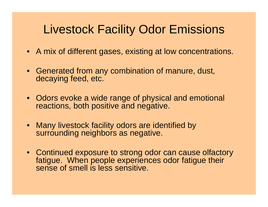## Livestock Facility Odor Emissions

- A mix of different gases, existing at low concentrations.
- Generated from any combination of manure, dust, decaying feed, etc.
- Odors evoke a wide range of physical and emotional reactions, both positive and negative.
- Many livestock facility odors are identified by surrounding neighbors as negative.
- Continued exposure to strong odor can cause olfactory fatigue. When people experiences odor fatigue their sense of smell is less sensitive.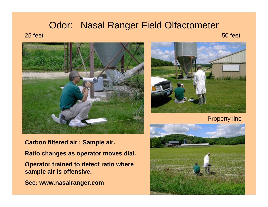#### Odor: Nasal Ranger Field Olfactometer 25 feet 50 feet



**Carbon filtered air : Sample air.**

**Ratio changes as operator moves dial.**

**Operator trained to detect ratio where sample air is offensive.**

**See: www.nasalranger.com**



Property line

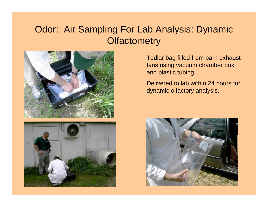#### Odor: Air Sampling For Lab Analysis: Dynamic **Olfactometry**





Tedlar bag filled from barn exhaust fans using vacuum chamber box and plastic tubing.

Delivered to lab within 24 hours for dynamic olfactory analysis.

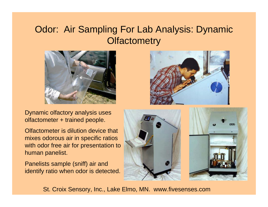#### Odor: Air Sampling For Lab Analysis: Dynamic **Olfactometry**



Dynamic olfactory analysis uses olfactometer + trained people.

Olfactometer is dilution device that mixes odorous air in specific ratios with odor free air for presentation to human panelist.

Panelists sample (sniff) air and identify ratio when odor is detected.







St. Croix Sensory, Inc., Lake Elmo, MN. www.fivesenses.com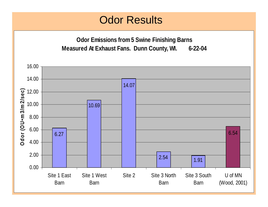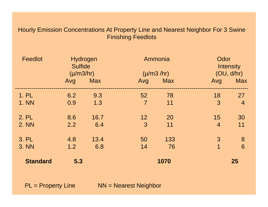#### Hourly Emission Concentrations At Property Line and Nearest Neighbor For 3 Swine Finishing Feedlots

| <b>Feedlot</b>  | Hydrogen<br><b>Sulfide</b><br>$(\mu/m3/hr)$ |            | Ammonia<br>$(\mu/m3/hr)$ |            |                | Odor<br><b>Intensity</b><br>(OU, d/hr) |  |
|-----------------|---------------------------------------------|------------|--------------------------|------------|----------------|----------------------------------------|--|
|                 | Avg                                         | <b>Max</b> | Avg                      | <b>Max</b> | Avg            | <b>Max</b>                             |  |
| 1. PL           | 6.2                                         | 9.3        | 52                       | 78         | 18             | 27                                     |  |
| <b>1. NN</b>    | 0.9                                         | 1.3        | $\overline{7}$           | 11         | 3              | $\overline{4}$                         |  |
| 2. PL           | 8.6                                         | 16.7       | 12                       | 20         | 15             | 30                                     |  |
| <b>2. NN</b>    | 2.2                                         | 6.4        | 3                        | 11         | $\overline{4}$ | 11                                     |  |
| 3. PL           | 4.8                                         | 13.4       | 50                       | 133        | 3              | 8                                      |  |
| 3. NN           | 1.2                                         | 6.8        | 14                       | 76         | $\mathbf{1}$   | 6                                      |  |
| <b>Standard</b> | 5.3                                         |            |                          | 1070       |                | 25                                     |  |

 $PL = Property Line$   $NN = Nearest Neighbour$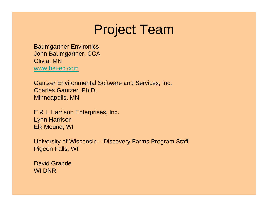## Project Team

Baumgartner Environics John Baumgartner, CCA Olivia, MN www.bei-ec.com

Gantzer Environmental Software and Services, Inc. Charles Gantzer, Ph.D. Minneapolis, MN

E & L Harrison Enterprises, Inc. Lynn Harrison Elk Mound, WI

University of Wisconsin – Discovery Farms Program Staff Pigeon Falls, WI

David GrandeWI DNR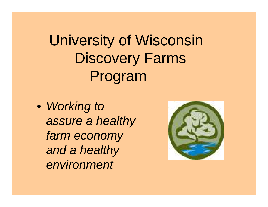University of Wisconsin Discovery Farms Program

• *Working to assure a healthy farm economy and a healthy environment*